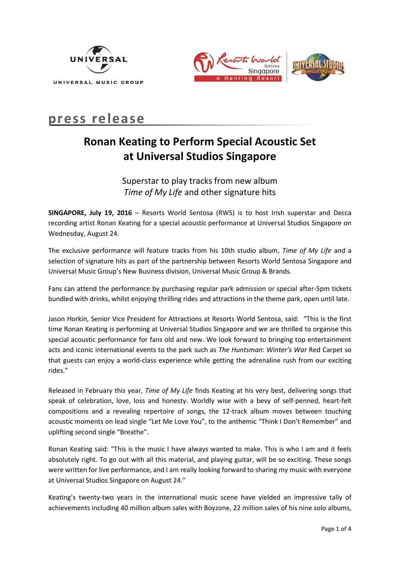



# **press release**

# **Ronan Keating to Perform Special Acoustic Set at Universal Studios Singapore**

Superstar to play tracks from new album *Time of My Life* and other signature hits

**SINGAPORE, July 19, 2016** – Resorts World Sentosa (RWS) is to host Irish superstar and Decca recording artist Ronan Keating for a special acoustic performance at Universal Studios Singapore on Wednesday, August 24.

The exclusive performance will feature tracks from his 10th studio album, *Time of My Life* and a selection of signature hits as part of the partnership between Resorts World Sentosa Singapore and Universal Music Group's New Business division, Universal Music Group & Brands.

Fans can attend the performance by purchasing regular park admission or special after-5pm tickets bundled with drinks, whilst enjoying thrilling rides and attractions in the theme park, open until late.

Jason Horkin, Senior Vice President for Attractions at Resorts World Sentosa, said: "This is the first time Ronan Keating is performing at Universal Studios Singapore and we are thrilled to organise this special acoustic performance for fans old and new. We look forward to bringing top entertainment acts and iconic international events to the park such as *The Huntsman: Winter's War* Red Carpet so that guests can enjoy a world-class experience while getting the adrenaline rush from our exciting rides."

Released in February this year*, Time of My Life* finds Keating at his very best, delivering songs that speak of celebration, love, loss and honesty. Worldly wise with a bevy of self-penned, heart-felt compositions and a revealing repertoire of songs, the 12-track album moves between touching acoustic moments on lead single "Let Me Love You", to the anthemic "Think I Don't Remember" and uplifting second single "Breathe".

Ronan Keating said: "This is the music I have always wanted to make. This is who I am and it feels absolutely right. To go out with all this material, and playing guitar, will be so exciting. These songs were written for live performance, and I am really looking forward to sharing my music with everyone at Universal Studios Singapore on August 24."

Keating's twenty-two years in the international music scene have yielded an impressive tally of achievements including 40 million album sales with Boyzone, 22 million sales of his nine solo albums,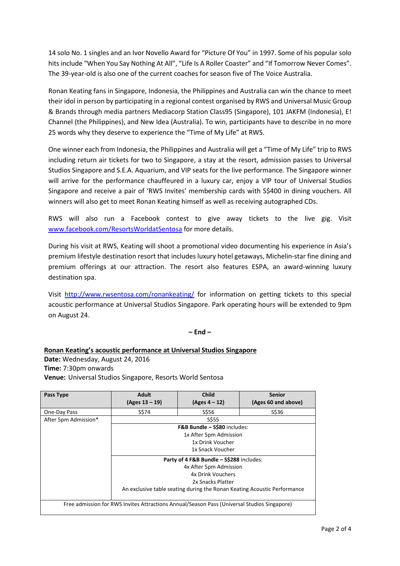14 solo No. 1 singles and an Ivor Novello Award for "Picture Of You" in 1997. Some of his popular solo hits include "When You Say Nothing At All", "Life Is A Roller Coaster" and "If Tomorrow Never Comes". The 39-year-old is also one of the current coaches for season five of The Voice Australia.

Ronan Keating fans in Singapore, Indonesia, the Philippines and Australia can win the chance to meet their idol in person by participating in a regional contest organised by RWS and Universal Music Group & Brands through media partners Mediacorp Station Class95 (Singapore), 101 JAKFM (Indonesia), E! Channel (the Philippines), and New Idea (Australia). To win, participants have to describe in no more 25 words why they deserve to experience the "Time of My Life" at RWS.

One winner each from Indonesia, the Philippines and Australia will get a "Time of My Life" trip to RWS including return air tickets for two to Singapore, a stay at the resort, admission passes to Universal Studios Singapore and S.E.A. Aquarium, and VIP seats for the live performance. The Singapore winner will arrive for the performance chauffeured in a luxury car, enjoy a VIP tour of Universal Studios Singapore and receive a pair of 'RWS Invites' membership cards with S\$400 in dining vouchers. All winners will also get to meet Ronan Keating himself as well as receiving autographed CDs.

RWS will also run a Facebook contest to give away tickets to the live gig. Visit [www.facebook.com/ResortsWorldatSentosa](http://www.facebook.com/ResortsWorldatSentosa) for more details.

During his visit at RWS, Keating will shoot a promotional video documenting his experience in Asia's premium lifestyle destination resort that includes luxury hotel getaways, Michelin-star fine dining and premium offerings at our attraction. The resort also features ESPA, an award-winning luxury destination spa.

Visit <http://www.rwsentosa.com/ronankeating/> for information on getting tickets to this special acoustic performance at Universal Studios Singapore. Park operating hours will be extended to 9pm on August 24.

## **– End –**

**Ronan Keating's acoustic performance at Universal Studios Singapore Date:** Wednesday, August 24, 2016 **Time:** 7:30pm onwards **Venue:** Universal Studios Singapore, Resorts World Sentosa

| Pass Type                                                                                   | <b>Adult</b><br>$(Ages 13 - 19)$                                         | <b>Child</b><br>$(Ages 4 - 12)$ | Senior<br>(Ages 60 and above) |
|---------------------------------------------------------------------------------------------|--------------------------------------------------------------------------|---------------------------------|-------------------------------|
| One-Day Pass                                                                                | S\$74                                                                    | S\$56                           | S\$36                         |
| After 5pm Admission*                                                                        | <b>S\$55</b>                                                             |                                 |                               |
|                                                                                             | F&B Bundle - S\$80 includes:                                             |                                 |                               |
|                                                                                             | 1x After 5pm Admission                                                   |                                 |                               |
|                                                                                             | 1x Drink Voucher                                                         |                                 |                               |
|                                                                                             | 1x Snack Voucher                                                         |                                 |                               |
|                                                                                             | Party of 4 F&B Bundle - S\$288 includes:                                 |                                 |                               |
|                                                                                             | 4x After 5pm Admission                                                   |                                 |                               |
|                                                                                             | 4x Drink Vouchers                                                        |                                 |                               |
|                                                                                             | 2x Snacks Platter                                                        |                                 |                               |
|                                                                                             | An exclusive table seating during the Ronan Keating Acoustic Performance |                                 |                               |
|                                                                                             |                                                                          |                                 |                               |
| Free admission for RWS Invites Attractions Annual/Season Pass (Universal Studios Singapore) |                                                                          |                                 |                               |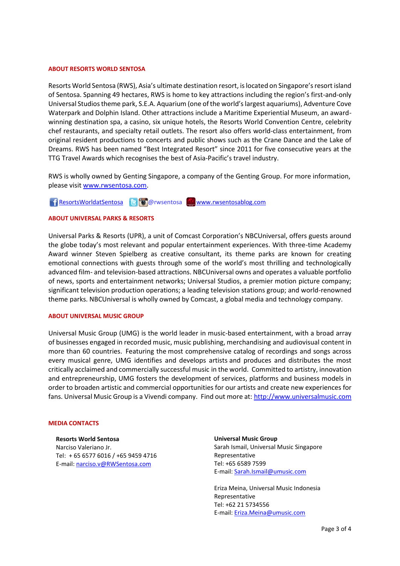#### **ABOUT RESORTS WORLD SENTOSA**

Resorts World Sentosa (RWS), Asia's ultimate destination resort, is located on Singapore's resort island of Sentosa. Spanning 49 hectares, RWS is home to key attractions including the region's first-and-only Universal Studios theme park, S.E.A. Aquarium (one of the world's largest aquariums), Adventure Cove Waterpark and Dolphin Island. Other attractions include a Maritime Experiential Museum, an awardwinning destination spa, a casino, six unique hotels, the Resorts World Convention Centre, celebrity chef restaurants, and specialty retail outlets. The resort also offers world-class entertainment, from original resident productions to concerts and public shows such as the Crane Dance and the Lake of Dreams. RWS has been named "Best Integrated Resort" since 2011 for five consecutive years at the TTG Travel Awards which recognises the best of Asia-Pacific's travel industry.

RWS is wholly owned by Genting Singapore, a company of the Genting Group. For more information, please visit [www.rwsentosa.com.](http://www.rwsentosa.com/)

[ResortsWorldatSentosa](http://resortsworldatsentosa/) BO@rwsentosa [www.rwsentosablog.com](http://www.rwsentosablog.com/)

### **ABOUT UNIVERSAL PARKS & RESORTS**

Universal Parks & Resorts (UPR), a unit of Comcast Corporation's NBCUniversal, offers guests around the globe today's most relevant and popular entertainment experiences. With three-time Academy Award winner Steven Spielberg as creative consultant, its theme parks are known for creating emotional connections with guests through some of the world's most thrilling and technologically advanced film- and television-based attractions. NBCUniversal owns and operates a valuable portfolio of news, sports and entertainment networks; Universal Studios, a premier motion picture company; significant television production operations; a leading television stations group; and world-renowned theme parks. NBCUniversal is wholly owned by Comcast, a global media and technology company.

### **ABOUT UNIVERSAL MUSIC GROUP**

Universal Music Group (UMG) is the world leader in music-based entertainment, with a broad array of businesses engaged in recorded music, music publishing, merchandising and audiovisual content in more than 60 countries. Featuring the most comprehensive catalog of recordings and songs across every musical genre, UMG identifies and develops artists and produces and distributes the most critically acclaimed and commercially successful music in the world. Committed to artistry, innovation and entrepreneurship, UMG fosters the development of services, platforms and business models in order to broaden artistic and commercial opportunities for our artists and create new experiences for fans. Universal Music Group is a Vivendi company. Find out more at: [http://www.universalmusic.com](http://secure-web.cisco.com/1LyoNJZCV9uUzSQ9X20_zTtaOE3r8fxxPD252jR4VS0uRSDFyosnSWSTTf6At1T8UE0W2O2ZTLqTvSLJ0sZ8tt7rzLHejnV9nvw0uu29ZIo5Daja2RJFKIXAIq2z9mA6IiYgcgkG8_pLkvMN7kDOdypYtHCXt2UST6rLHEnXvICBZnOMDVEywb8NcQ9Yx5OoKaNCOGTZ1o_Ej54ZPIPGDzWEsL17TCZyY5zhli_0gMGufmc6Z5usWguduKeN29U8B/http%3A%2F%2Fwww.universalmusic.com%2F)

#### **MEDIA CONTACTS**

**Resorts World Sentosa**  Narciso Valeriano Jr. Tel: + 65 6577 6016 / +65 9459 4716 E-mail[: narciso.v@RWSentosa.com](mailto:narciso.v@RWSentosa.com)

### **Universal Music Group** Sarah Ismail, Universal Music Singapore Representative Tel: +65 6589 7599 E-mail: [Sarah.Ismail@umusic.com](mailto:Sarah.Ismail@umusic.com)

Eriza Meina, Universal Music Indonesia Representative Tel: +62 21 5734556 E-mail: [Eriza.Meina@umusic.com](mailto:Eriza.Meina@umusic.com)